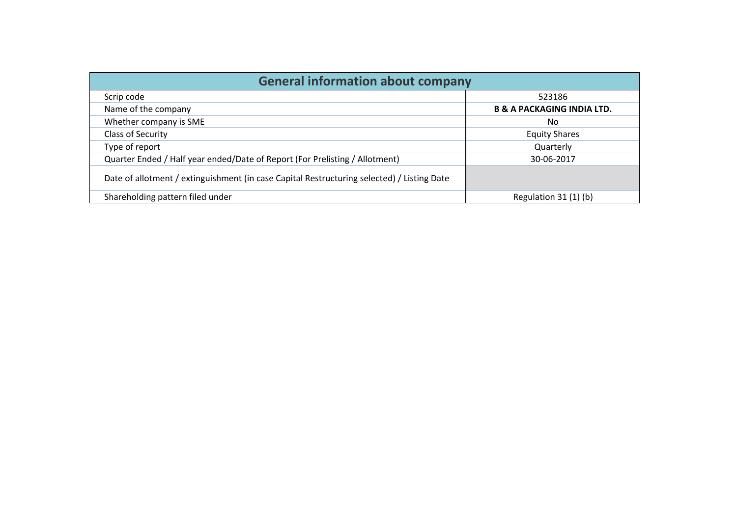| <b>General information about company</b>                                                   |                                       |
|--------------------------------------------------------------------------------------------|---------------------------------------|
| Scrip code                                                                                 | 523186                                |
| Name of the company                                                                        | <b>B &amp; A PACKAGING INDIA LTD.</b> |
| Whether company is SME                                                                     | No                                    |
| Class of Security                                                                          | <b>Equity Shares</b>                  |
| Type of report                                                                             | Quarterly                             |
| Quarter Ended / Half year ended/Date of Report (For Prelisting / Allotment)                | 30-06-2017                            |
| Date of allotment / extinguishment (in case Capital Restructuring selected) / Listing Date |                                       |
| Shareholding pattern filed under                                                           | Regulation $31(1)(b)$                 |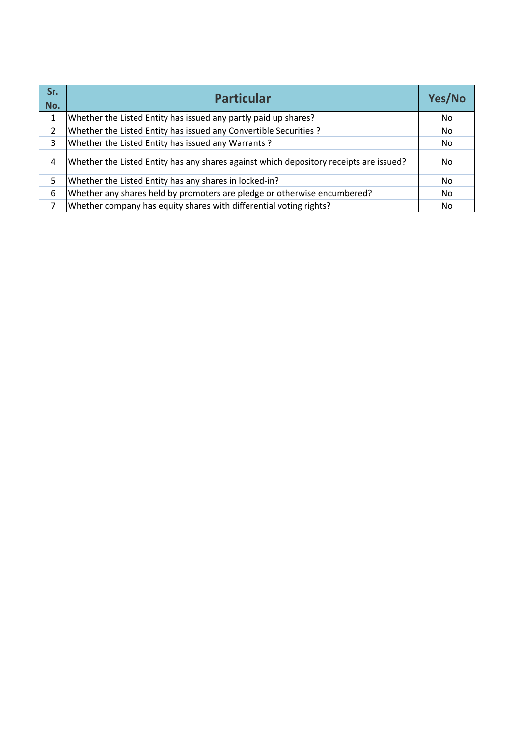| Sr.<br>No. | <b>Particular</b>                                                                      | Yes/No |
|------------|----------------------------------------------------------------------------------------|--------|
|            | Whether the Listed Entity has issued any partly paid up shares?                        | No.    |
| 2          | Whether the Listed Entity has issued any Convertible Securities ?                      | No.    |
| 3          | Whether the Listed Entity has issued any Warrants?                                     | No.    |
| 4          | Whether the Listed Entity has any shares against which depository receipts are issued? | No     |
| 5          | Whether the Listed Entity has any shares in locked-in?                                 | No.    |
| 6          | Whether any shares held by promoters are pledge or otherwise encumbered?               | No.    |
|            | Whether company has equity shares with differential voting rights?                     | No     |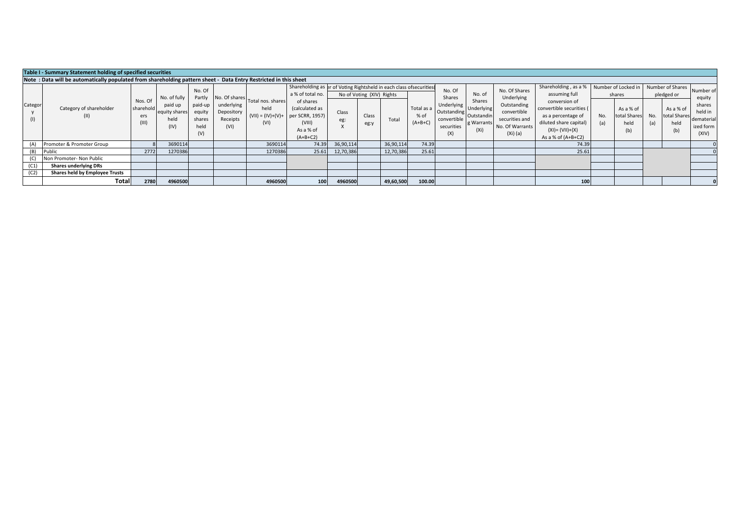|                | Table I - Summary Statement holding of specified securities                                                      |                             |                                                          |                                                         |                                              |                                                                        |                                                                                                                                                                               |              |                                            |           |                                 |                                                                                                           |                                           |                                                                                                              |                                                                                                                                                                                  |            |                                                                           |     |                                                                                |                                                                              |
|----------------|------------------------------------------------------------------------------------------------------------------|-----------------------------|----------------------------------------------------------|---------------------------------------------------------|----------------------------------------------|------------------------------------------------------------------------|-------------------------------------------------------------------------------------------------------------------------------------------------------------------------------|--------------|--------------------------------------------|-----------|---------------------------------|-----------------------------------------------------------------------------------------------------------|-------------------------------------------|--------------------------------------------------------------------------------------------------------------|----------------------------------------------------------------------------------------------------------------------------------------------------------------------------------|------------|---------------------------------------------------------------------------|-----|--------------------------------------------------------------------------------|------------------------------------------------------------------------------|
|                | Note: Data will be automatically populated from shareholding pattern sheet - Data Entry Restricted in this sheet |                             |                                                          |                                                         |                                              |                                                                        |                                                                                                                                                                               |              |                                            |           |                                 |                                                                                                           |                                           |                                                                                                              |                                                                                                                                                                                  |            |                                                                           |     |                                                                                |                                                                              |
|                |                                                                                                                  |                             |                                                          |                                                         |                                              |                                                                        |                                                                                                                                                                               |              |                                            |           |                                 |                                                                                                           |                                           |                                                                                                              |                                                                                                                                                                                  |            |                                                                           |     |                                                                                |                                                                              |
| Categor<br>(1) | Category of shareholder<br>(II)                                                                                  | Nos. Of<br>sharehold<br>ers | No. of fully<br>paid up<br>equity shares<br>held<br>(IV) | No. Of<br>Partly<br>paid-up<br>equity<br>shares<br>held | underlying<br>Depository<br>Receipts<br>(VI) | No. Of shares Total nos. shares<br>held<br>$(VII) = (IV)+(V)+$<br>(VI) | Shareholding as er of Voting Rightsheld in each class ofsecurities<br>a % of total no.<br>of shares<br>(calculated as<br>per SCRR, 1957)<br>(VIII)<br>As a % of<br>$(A+B+C2)$ | Class<br>eg: | No of Voting (XIV) Rights<br>Class<br>eg:y | Total     | Total as a<br>% of<br>$(A+B+C)$ | No. Of<br>Shares<br>I Underlying Underlying<br>Outstanding Outstandin<br>convertible<br>securities<br>(X) | No. of<br>Shares<br>g Warrants<br>$(X_i)$ | No. Of Shares<br>Underlying<br>Outstanding<br>convertible<br>securities and<br>No. Of Warrants<br>$(Xi)$ (a) | Shareholding, as a %<br>assuming full<br>conversion of<br>convertible securities (<br>as a percentage of<br>diluted share capital)<br>$(XI) = (VII)+(X)$<br>As a % of $(A+B+C2)$ | No.<br>(a) | Number of Locked in<br>shares<br>As a % of<br>total Shares<br>held<br>(b) | (a) | Number of Shares<br>pledged or<br>As a % of<br>No. total Shares<br>held<br>(b) | Number of<br>equity<br>shares<br>held in<br>dematerial<br>ized form<br>(XIV) |
| (A)            | Promoter & Promoter Group                                                                                        |                             | 3690114                                                  |                                                         |                                              | 3690114                                                                | 74.39                                                                                                                                                                         | 36,90,114    |                                            | 36,90,114 | 74.39                           |                                                                                                           |                                           |                                                                                                              | 74.39                                                                                                                                                                            |            |                                                                           |     |                                                                                |                                                                              |
|                | Public                                                                                                           | 2772                        | 1270386                                                  |                                                         |                                              | 1270386                                                                | 25.61                                                                                                                                                                         | 12,70,386    |                                            | 12,70,386 | 25.61                           |                                                                                                           |                                           |                                                                                                              | 25.61                                                                                                                                                                            |            |                                                                           |     |                                                                                |                                                                              |
|                | Non Promoter- Non Public                                                                                         |                             |                                                          |                                                         |                                              |                                                                        |                                                                                                                                                                               |              |                                            |           |                                 |                                                                                                           |                                           |                                                                                                              |                                                                                                                                                                                  |            |                                                                           |     |                                                                                |                                                                              |
| (C1)           | <b>Shares underlying DRs</b>                                                                                     |                             |                                                          |                                                         |                                              |                                                                        |                                                                                                                                                                               |              |                                            |           |                                 |                                                                                                           |                                           |                                                                                                              |                                                                                                                                                                                  |            |                                                                           |     |                                                                                |                                                                              |
| (C2)           | Shares held by Employee Trusts                                                                                   |                             |                                                          |                                                         |                                              |                                                                        |                                                                                                                                                                               |              |                                            |           |                                 |                                                                                                           |                                           |                                                                                                              |                                                                                                                                                                                  |            |                                                                           |     |                                                                                |                                                                              |
|                | Total                                                                                                            | 2780                        | 4960500                                                  |                                                         |                                              | 4960500                                                                | 100                                                                                                                                                                           | 4960500      |                                            | 49,60,500 | 100.00                          |                                                                                                           |                                           |                                                                                                              | 100                                                                                                                                                                              |            |                                                                           |     |                                                                                |                                                                              |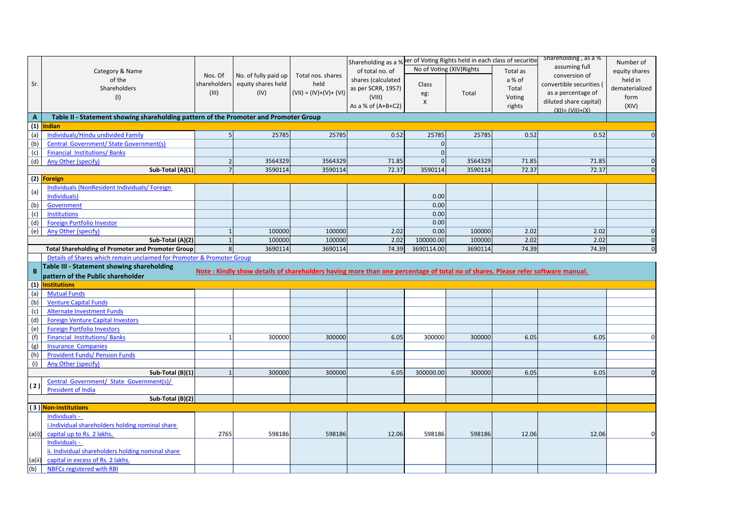|                   |                                                                                      |              |                                                                                                                                |                         | Shareholding as a % ber of Voting Rights held in each class of securitie |                           |         |          | Shareholding, as a %   | Number of      |
|-------------------|--------------------------------------------------------------------------------------|--------------|--------------------------------------------------------------------------------------------------------------------------------|-------------------------|--------------------------------------------------------------------------|---------------------------|---------|----------|------------------------|----------------|
|                   | Category & Name                                                                      |              |                                                                                                                                |                         | of total no. of                                                          | No of Voting (XIV) Rights |         | Total as | assuming full          | equity shares  |
|                   | of the                                                                               | Nos. Of      | No. of fully paid up                                                                                                           | Total nos. shares       | shares (calculated                                                       |                           |         | a % of   | conversion of          | held in        |
| Sr.               | Shareholders                                                                         | shareholders | equity shares held                                                                                                             | held                    | as per SCRR, 1957)                                                       | Class                     |         |          | convertible securities | dematerialized |
|                   |                                                                                      | (III)        | (IV)                                                                                                                           | $(VII) = (IV)+(V)+(VI)$ |                                                                          | eg:                       | Total   | Total    | as a percentage of     |                |
|                   | (1)                                                                                  |              |                                                                                                                                |                         | (VIII)                                                                   | $\boldsymbol{\mathsf{X}}$ |         | Voting   | diluted share capital) | form           |
|                   |                                                                                      |              |                                                                                                                                |                         | As a % of $(A+B+C2)$                                                     |                           |         | rights   | $(XI) = (VII)+(X)$     | (XIV)          |
| A                 | Table II - Statement showing shareholding pattern of the Promoter and Promoter Group |              |                                                                                                                                |                         |                                                                          |                           |         |          |                        |                |
| $\overline{1}$    | ndian                                                                                |              |                                                                                                                                |                         |                                                                          |                           |         |          |                        |                |
| (a)               | Individuals/Hindu undivided Family                                                   |              | 25785                                                                                                                          | 25785                   | 0.52                                                                     | 25785                     | 25785   | 0.52     | 0.52                   | $\Omega$       |
| (b)               | <b>Central Government/ State Government(s)</b>                                       |              |                                                                                                                                |                         |                                                                          | $\Omega$                  |         |          |                        |                |
| (c)               | <b>Financial Institutions/Banks</b>                                                  |              |                                                                                                                                |                         |                                                                          | $\overline{0}$            |         |          |                        |                |
| (d)               | Any Other (specify)                                                                  |              | 3564329                                                                                                                        | 3564329                 | 71.85                                                                    | $\Omega$                  | 3564329 | 71.85    | 71.85                  | $\mathbf{0}$   |
|                   | Sub-Total (A)(1)                                                                     |              | 3590114                                                                                                                        | 3590114                 | 72.37                                                                    | 3590114                   | 3590114 | 72.37    | 72.37                  | $\Omega$       |
|                   | (2) Foreign                                                                          |              |                                                                                                                                |                         |                                                                          |                           |         |          |                        |                |
|                   | <b>Individuals (NonResident Individuals/ Foreign)</b>                                |              |                                                                                                                                |                         |                                                                          |                           |         |          |                        |                |
| (a)               | Individuals)                                                                         |              |                                                                                                                                |                         |                                                                          | 0.00                      |         |          |                        |                |
| (b)               | Government                                                                           |              |                                                                                                                                |                         |                                                                          | 0.00                      |         |          |                        |                |
| (c)               | Institutions                                                                         |              |                                                                                                                                |                         |                                                                          | 0.00                      |         |          |                        |                |
| (d)               | <b>Foreign Portfolio Investor</b>                                                    |              |                                                                                                                                |                         |                                                                          | 0.00                      |         |          |                        |                |
| (e)               | Any Other (specify)                                                                  |              | 100000                                                                                                                         | 100000                  | 2.02                                                                     | 0.00                      | 100000  | 2.02     | 2.02                   | $\mathbf{0}$   |
|                   |                                                                                      |              | 100000                                                                                                                         | 100000                  | 2.02                                                                     | 100000.00                 | 100000  | 2.02     | 2.02                   | $\mathbf 0$    |
|                   | Sub-Total (A)(2)                                                                     |              | 3690114                                                                                                                        | 3690114                 |                                                                          |                           |         |          |                        |                |
|                   |                                                                                      |              |                                                                                                                                |                         | 74.39                                                                    | 3690114.00                | 3690114 | 74.39    | 74.39                  | $\mathbf 0$    |
|                   | <b>Total Shareholding of Promoter and Promoter Group</b>                             |              |                                                                                                                                |                         |                                                                          |                           |         |          |                        |                |
|                   | Details of Shares which remain unclaimed for Promoter & Promoter Group               |              |                                                                                                                                |                         |                                                                          |                           |         |          |                        |                |
| B                 | Table III - Statement showing shareholding                                           |              | Note: Kindly show details of shareholders having more than one percentage of total no of shares. Please refer software manual. |                         |                                                                          |                           |         |          |                        |                |
|                   | pattern of the Public shareholder                                                    |              |                                                                                                                                |                         |                                                                          |                           |         |          |                        |                |
|                   | <b>Institutions</b>                                                                  |              |                                                                                                                                |                         |                                                                          |                           |         |          |                        |                |
|                   | <b>Mutual Funds</b>                                                                  |              |                                                                                                                                |                         |                                                                          |                           |         |          |                        |                |
| (1)<br>(a)<br>(b) | <b>Venture Capital Funds</b>                                                         |              |                                                                                                                                |                         |                                                                          |                           |         |          |                        |                |
|                   | <b>Alternate Investment Funds</b>                                                    |              |                                                                                                                                |                         |                                                                          |                           |         |          |                        |                |
|                   | <b>Foreign Venture Capital Investors</b>                                             |              |                                                                                                                                |                         |                                                                          |                           |         |          |                        |                |
| (c)<br>(d)<br>(e) | <b>Foreign Portfolio Investors</b>                                                   |              |                                                                                                                                |                         |                                                                          |                           |         |          |                        |                |
| (f)               | <b>Financial Institutions/Banks</b>                                                  |              | 300000                                                                                                                         | 300000                  | 6.05                                                                     | 300000                    | 300000  | 6.05     | 6.05                   | $\Omega$       |
|                   | <b>Insurance Companies</b>                                                           |              |                                                                                                                                |                         |                                                                          |                           |         |          |                        |                |
| (g)               |                                                                                      |              |                                                                                                                                |                         |                                                                          |                           |         |          |                        |                |
|                   | <b>Provident Funds/ Pension Funds</b>                                                |              |                                                                                                                                |                         |                                                                          |                           |         |          |                        |                |
| (h)<br>(i)        | Any Other (specify)                                                                  |              |                                                                                                                                |                         |                                                                          |                           |         |          |                        |                |
|                   | Sub-Total (B)(1)                                                                     |              | 300000                                                                                                                         | 300000                  | 6.05                                                                     | 300000.00                 | 300000  | 6.05     | 6.05                   | $\Omega$       |
| (2)               | Central Government/ State Government(s)/                                             |              |                                                                                                                                |                         |                                                                          |                           |         |          |                        |                |
|                   | <b>President of India</b>                                                            |              |                                                                                                                                |                         |                                                                          |                           |         |          |                        |                |
|                   | Sub-Total (B)(2)                                                                     |              |                                                                                                                                |                         |                                                                          |                           |         |          |                        |                |
|                   | (3) Non-institutions                                                                 |              |                                                                                                                                |                         |                                                                          |                           |         |          |                        |                |
|                   | Individuals -                                                                        |              |                                                                                                                                |                         |                                                                          |                           |         |          |                        |                |
|                   | i.Individual shareholders holding nominal share                                      |              |                                                                                                                                |                         |                                                                          |                           |         |          |                        |                |
| (a(i))            | capital up to Rs. 2 lakhs.                                                           | 2765         | 598186                                                                                                                         | 598186                  | 12.06                                                                    | 598186                    | 598186  | 12.06    | 12.06                  | 0              |
|                   | Individuals -                                                                        |              |                                                                                                                                |                         |                                                                          |                           |         |          |                        |                |
|                   | ii. Individual shareholders holding nominal share                                    |              |                                                                                                                                |                         |                                                                          |                           |         |          |                        |                |
| (a(ii             | capital in excess of Rs. 2 lakhs.                                                    |              |                                                                                                                                |                         |                                                                          |                           |         |          |                        |                |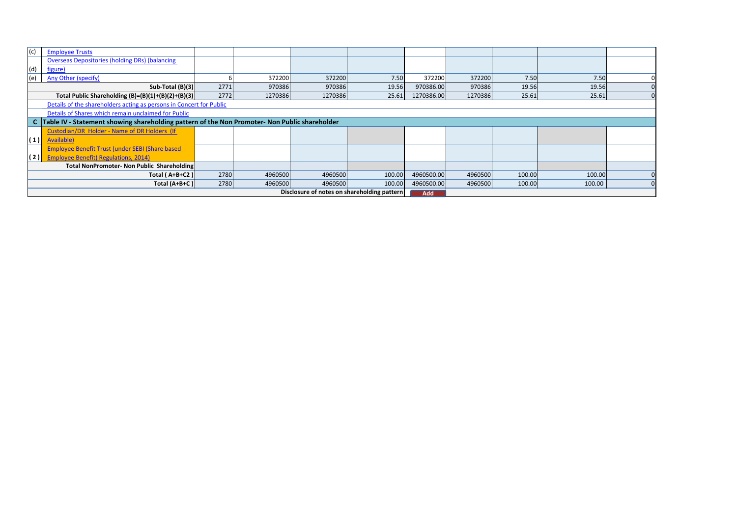| (c) | <b>Employee Trusts</b>                                                                           |      |         |         |                                             |            |         |        |        |  |  |  |
|-----|--------------------------------------------------------------------------------------------------|------|---------|---------|---------------------------------------------|------------|---------|--------|--------|--|--|--|
|     | <b>Overseas Depositories (holding DRs) (balancing</b>                                            |      |         |         |                                             |            |         |        |        |  |  |  |
| (d) | <u>figure)</u>                                                                                   |      |         |         |                                             |            |         |        |        |  |  |  |
| (e) | Any Other (specify)                                                                              |      | 372200  | 372200  | 7.50                                        | 372200     | 372200  | 7.50   | 7.50   |  |  |  |
|     | Sub-Total $(B)(3)$                                                                               | 2771 | 970386  | 970386  | 19.56                                       | 970386.00  | 970386  | 19.56  | 19.56  |  |  |  |
|     | Total Public Shareholding $(B)=(B)(1)+(B)(2)+(B)(3)$                                             | 2772 | 1270386 | 1270386 | 25.61                                       | 1270386.00 | 1270386 | 25.61  | 25.61  |  |  |  |
|     | Details of the shareholders acting as persons in Concert for Public                              |      |         |         |                                             |            |         |        |        |  |  |  |
|     | Details of Shares which remain unclaimed for Public                                              |      |         |         |                                             |            |         |        |        |  |  |  |
|     | C  Table IV - Statement showing shareholding pattern of the Non Promoter- Non Public shareholder |      |         |         |                                             |            |         |        |        |  |  |  |
|     | Custodian/DR Holder - Name of DR Holders (If                                                     |      |         |         |                                             |            |         |        |        |  |  |  |
| (1) | Available)                                                                                       |      |         |         |                                             |            |         |        |        |  |  |  |
|     | Employee Benefit Trust (under SEBI (Share based                                                  |      |         |         |                                             |            |         |        |        |  |  |  |
| (2) | <b>Employee Benefit) Regulations, 2014)</b>                                                      |      |         |         |                                             |            |         |        |        |  |  |  |
|     | Total NonPromoter- Non Public Shareholding                                                       |      |         |         |                                             |            |         |        |        |  |  |  |
|     | Total (A+B+C2)                                                                                   | 2780 | 4960500 | 4960500 | 100.00                                      | 4960500.00 | 4960500 | 100.00 | 100.00 |  |  |  |
|     | Total (A+B+C)                                                                                    | 2780 | 4960500 | 4960500 | 100.00                                      | 4960500.00 | 4960500 | 100.00 | 100.00 |  |  |  |
|     |                                                                                                  |      |         |         | Disclosure of notes on shareholding pattern | <b>Add</b> |         |        |        |  |  |  |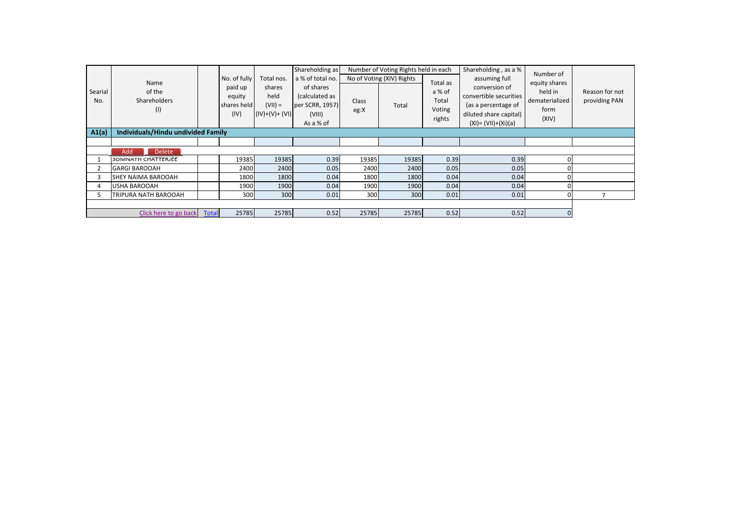| Searial<br>No. | Name<br>of the<br><b>Shareholders</b><br>(1) |              | No. of fully<br>paid up<br>equity<br>shares held<br>(IV) | Total nos.<br>shares<br>held<br>$(VII) =$<br>$(IV)+(V)+(V)$ | Shareholding as<br>a % of total no.<br>of shares<br>(calculated as<br>per SCRR, 1957)<br>(VIII)<br>As a % of | Class<br>eg:X | Number of Voting Rights held in each<br>No of Voting (XIV) Rights<br>Total | Total as<br>a % of<br>Total<br>Voting<br>rights | Shareholding, as a %<br>assuming full<br>conversion of<br>convertible securities<br>(as a percentage of<br>diluted share capital)<br>$(XI) = (VII)+(Xi)(a)$ | Number of<br>equity shares<br>held in<br>dematerialized<br>form<br>(XIV) | Reason for not<br>providing PAN |  |
|----------------|----------------------------------------------|--------------|----------------------------------------------------------|-------------------------------------------------------------|--------------------------------------------------------------------------------------------------------------|---------------|----------------------------------------------------------------------------|-------------------------------------------------|-------------------------------------------------------------------------------------------------------------------------------------------------------------|--------------------------------------------------------------------------|---------------------------------|--|
| A1(a)          | Individuals/Hindu undivided Family           |              |                                                          |                                                             |                                                                                                              |               |                                                                            |                                                 |                                                                                                                                                             |                                                                          |                                 |  |
|                |                                              |              |                                                          |                                                             |                                                                                                              |               |                                                                            |                                                 |                                                                                                                                                             |                                                                          |                                 |  |
|                | Add<br><b>Delete</b>                         |              |                                                          |                                                             |                                                                                                              |               |                                                                            |                                                 |                                                                                                                                                             |                                                                          |                                 |  |
|                | SOMNATH CHATTERJEE                           |              | 19385                                                    | 19385                                                       | 0.39                                                                                                         | 19385         | 19385                                                                      | 0.39                                            | 0.39                                                                                                                                                        |                                                                          |                                 |  |
|                | <b>GARGI BAROOAH</b>                         |              | 2400                                                     | 2400                                                        | 0.05                                                                                                         | 2400          | 2400                                                                       | 0.05                                            | 0.05                                                                                                                                                        |                                                                          |                                 |  |
|                | SHEY NAIMA BAROOAH                           |              | 1800                                                     | 1800                                                        | 0.04                                                                                                         | 1800          | 1800                                                                       | 0.04                                            | 0.04                                                                                                                                                        |                                                                          |                                 |  |
|                | USHA BAROOAH                                 |              | 1900                                                     | 1900                                                        | 0.04                                                                                                         | 1900          | 1900                                                                       | 0.04                                            | 0.04                                                                                                                                                        |                                                                          |                                 |  |
| 5.             | TRIPURA NATH BAROOAH                         |              | 300                                                      | 300                                                         | 0.01                                                                                                         | 300           | 300                                                                        | 0.01                                            | 0.01                                                                                                                                                        |                                                                          |                                 |  |
|                |                                              |              |                                                          |                                                             |                                                                                                              |               |                                                                            |                                                 |                                                                                                                                                             |                                                                          |                                 |  |
|                | Click here to go back                        | <b>Total</b> | 25785                                                    | 25785                                                       | 0.52                                                                                                         | 25785         | 25785                                                                      | 0.52                                            | 0.52                                                                                                                                                        |                                                                          |                                 |  |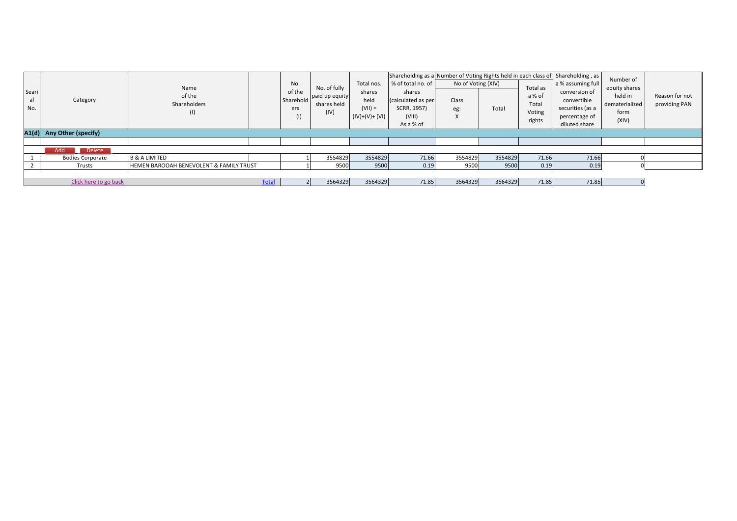|                |                             |                                                    |              |           |                |                |                    | Shareholding as a Number of Voting Rights held in each class of Shareholding, as |         |          |                   | Number of      |                |
|----------------|-----------------------------|----------------------------------------------------|--------------|-----------|----------------|----------------|--------------------|----------------------------------------------------------------------------------|---------|----------|-------------------|----------------|----------------|
|                |                             | Name                                               |              | No.       | No. of fully   | Total nos.     | % of total no. of  | No of Voting (XIV)                                                               |         | Total as | a % assuming full | equity shares  |                |
| Seari          |                             | of the                                             |              | of the    | paid up equity | shares         | shares             |                                                                                  |         | a % of   | conversion of     | held in        | Reason for not |
| al             | Category                    | Shareholders                                       |              | Sharehold | shares held    | held           | (calculated as per | Class                                                                            |         | Total    | convertible       | dematerialized | providing PAN  |
| No.            |                             |                                                    |              | ers       | (IV)           | $(VII) =$      | SCRR, 1957)        | eg:                                                                              | Total   | Voting   | securities (as a  | form           |                |
|                |                             | U)                                                 |              | (1)       |                | $(IV)+(V)+(V)$ | (VIII)             | ⋏                                                                                |         | rights   | percentage of     | (XIV)          |                |
|                |                             |                                                    |              |           |                |                | As a % of          |                                                                                  |         |          | diluted share     |                |                |
|                | A1(d) Any Other (specify)   |                                                    |              |           |                |                |                    |                                                                                  |         |          |                   |                |                |
|                |                             |                                                    |              |           |                |                |                    |                                                                                  |         |          |                   |                |                |
|                | Add<br><b>Delete</b><br>. . |                                                    |              |           |                |                |                    |                                                                                  |         |          |                   |                |                |
|                | <b>Bodies Corporate</b>     | <b>B &amp; A LIMITED</b>                           |              |           | 3554829        | 3554829        | 71.66              | 3554829                                                                          | 3554829 | 71.66    | 71.66             |                |                |
| $\overline{2}$ | Trusts                      | <b>HEMEN BAROOAH BENEVOLENT &amp; FAMILY TRUST</b> |              |           | 9500           | 9500           | 0.19               | 9500                                                                             | 9500    | 0.19     | 0.19              |                |                |
|                |                             |                                                    |              |           |                |                |                    |                                                                                  |         |          |                   |                |                |
|                | Click here to go back       |                                                    | <b>Total</b> |           | 3564329        | 3564329        | 71.85              | 3564329                                                                          | 3564329 | 71.85    | 71.85             |                |                |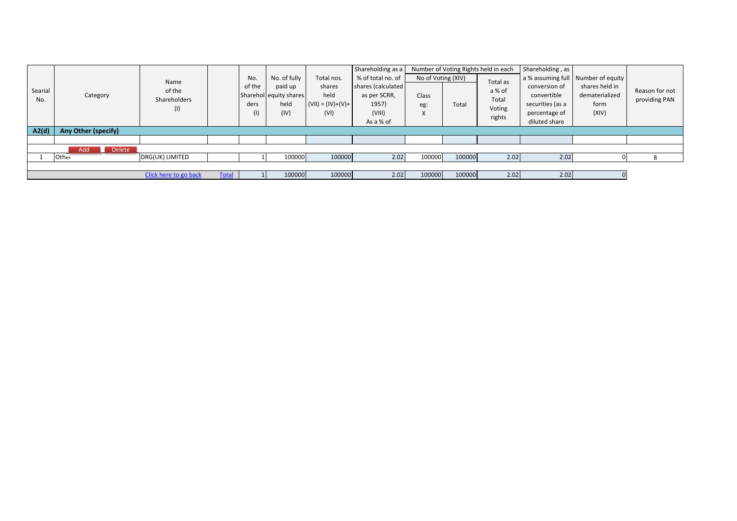|         |                           |                       |              |      |                        |                     | Shareholding as a |                    |        | Number of Voting Rights held in each | Shareholding, as |                                    |                |                |
|---------|---------------------------|-----------------------|--------------|------|------------------------|---------------------|-------------------|--------------------|--------|--------------------------------------|------------------|------------------------------------|----------------|----------------|
|         |                           | Name                  |              | No.  | No. of fully           | Total nos.          | % of total no. of | No of Voting (XIV) |        | Total as                             |                  | a % assuming full Number of equity |                |                |
| Searial |                           | of the                |              |      | of the                 | paid up             | shares            | shares (calculated |        |                                      | a % of           | conversion of                      | shares held in | Reason for not |
| No.     | Category                  | Shareholders          |              |      | Sharehol equity shares | held                | as per SCRR,      | Class              |        | Total                                | convertible      | dematerialized                     | providing PAN  |                |
|         |                           | (1)                   |              | ders | held                   | $(VII) = (IV)+(V)+$ | 1957)             | eg:                | Total  | Voting                               | securities (as a | form                               |                |                |
|         |                           |                       |              | (1)  | (IV)                   | (VI)                | (VIII)            | $\lambda$          |        | rights                               | percentage of    | (XIV)                              |                |                |
|         |                           |                       |              |      |                        |                     | As a % of         |                    |        |                                      | diluted share    |                                    |                |                |
| A2(d)   | Any Other (specify)       |                       |              |      |                        |                     |                   |                    |        |                                      |                  |                                    |                |                |
|         |                           |                       |              |      |                        |                     |                   |                    |        |                                      |                  |                                    |                |                |
|         | Add<br><b>Delete</b><br>ш |                       |              |      |                        |                     |                   |                    |        |                                      |                  |                                    |                |                |
|         | Other                     | DRG(UK) LIMITED       |              |      | 100000                 | 100000              | 2.02              | 100000             | 100000 | 2.02                                 | 2.02             |                                    |                |                |
|         |                           |                       |              |      |                        |                     |                   |                    |        |                                      |                  |                                    |                |                |
|         |                           | Click here to go back | <b>Total</b> |      | 100000                 | 100000              | 2.02              | 100000             | 100000 | 2.02                                 | 2.02             |                                    |                |                |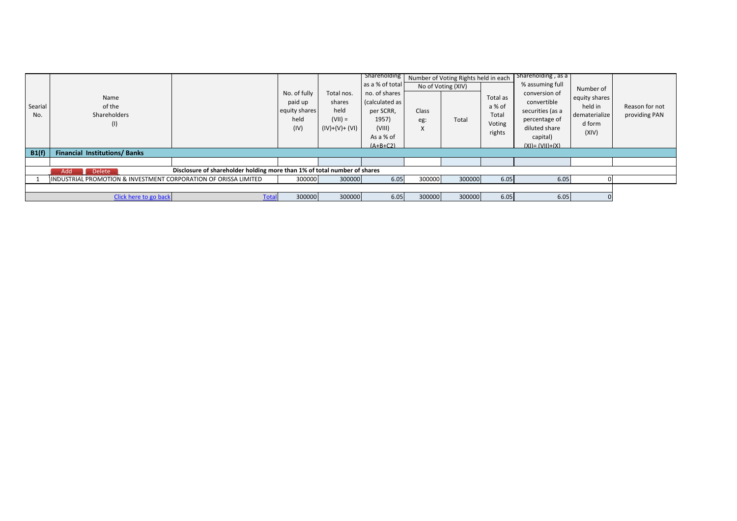| equity shares<br>(calculated as  <br>convertible<br>paid up<br>shares<br>held in<br>Searial<br>of the<br>a % of<br>held<br>equity shares<br>per SCRR,<br>securities (as a<br>Class<br>Shareholders<br>Total<br>No.<br>dematerialize<br>held<br>$($ VII) =<br>1957)<br>percentage of<br>Total<br>eg:<br>Voting<br>d form<br>(1)<br>(IV)<br>$(IV)+(V)+(V)$<br>diluted share<br>(VIII)<br>X<br>rights<br>(XIV)<br>As a % of<br>capital)<br>$(A+B+C2)$<br>$(XI) = (VII)+(X)$<br>B1(f)<br><b>Financial Institutions/Banks</b> | Reason for not<br>providing PAN |
|--------------------------------------------------------------------------------------------------------------------------------------------------------------------------------------------------------------------------------------------------------------------------------------------------------------------------------------------------------------------------------------------------------------------------------------------------------------------------------------------------------------------------|---------------------------------|
|                                                                                                                                                                                                                                                                                                                                                                                                                                                                                                                          |                                 |
|                                                                                                                                                                                                                                                                                                                                                                                                                                                                                                                          |                                 |
| Disclosure of shareholder holding more than 1% of total number of shares<br>Add<br><b>Delete</b>                                                                                                                                                                                                                                                                                                                                                                                                                         |                                 |
| 6.05<br>300000<br>6.05<br>INDUSTRIAL PROMOTION & INVESTMENT CORPORATION OF ORISSA LIMITED<br>300000<br>300000<br>300000<br>6.05                                                                                                                                                                                                                                                                                                                                                                                          |                                 |
|                                                                                                                                                                                                                                                                                                                                                                                                                                                                                                                          |                                 |
| 300000<br>300000<br>6.05<br>6.05<br>Click here to go back<br>300000<br>300000<br>6.05<br>Total                                                                                                                                                                                                                                                                                                                                                                                                                           |                                 |